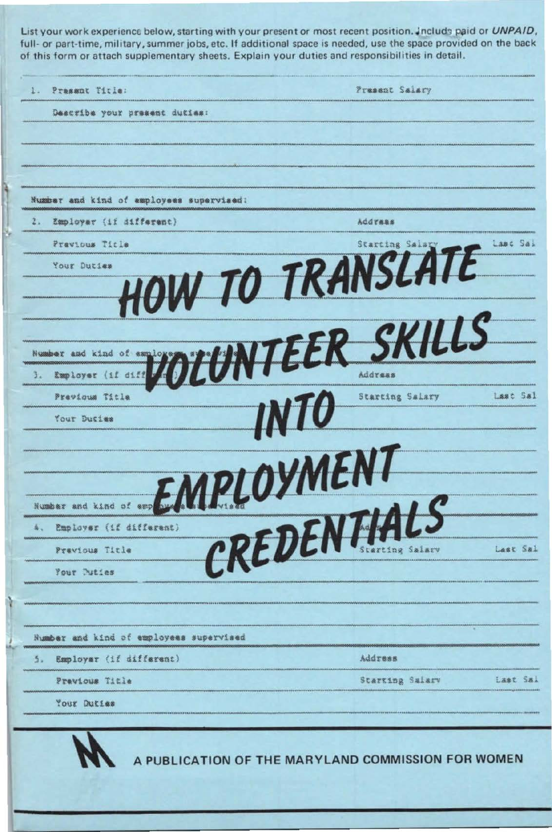List your work experience below, starting with your present or most recent position. Include paid or UNPAID, full- or part-time, military, summer jobs, etc. If additional space is needed, use the space provided on the back of this form or attach supplementary sheets. Explain your duties and responsibilities in detail.

 $1.$ Present Salary Prasant Title: Describe your present duties: Number and kind of amployees supervised:  $2.$ Employer (if different) *Address* **HOW TO TRANSLATE** Previous Title Lasc Sal Your Duties DIUNTEER SKILLS Number and kind of 3.  $(12.6152)$ Employer **INTO** Last Sal Previous Title Starting Salary Your Ducies EMPLOYMENT CREDENTIALS Number and kind of emp Employer (if different)  $\Delta$  . Last Sal Previous Title Your Puties Number and kind of employees supervised Employer (if different) Address  $\overline{5}$ . Starting Salary Last Sai Pravious Title Your Duties A PUBLICATION OF THE MARYLAND COMMISSION FOR WOMEN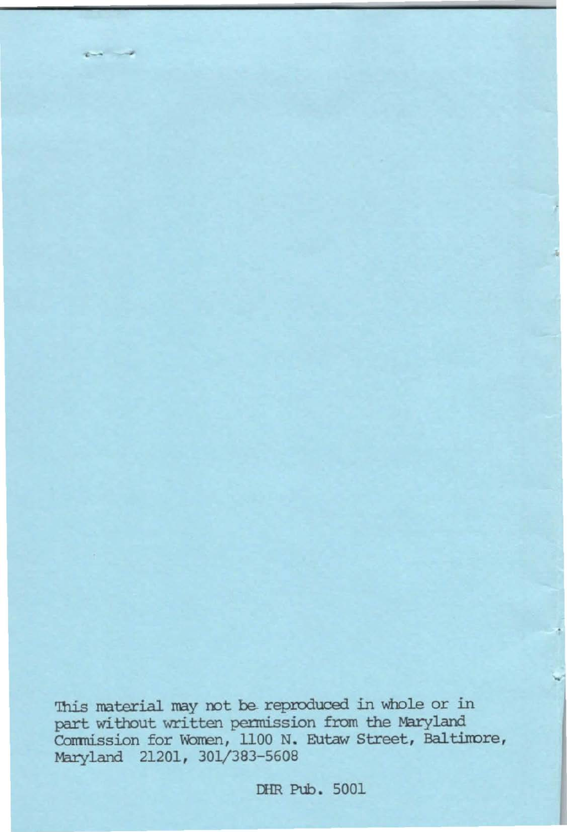This material may not be reproduced in whole or in part without written permission from the Maryland Commission for Women, 1100 N. Eutaw Street, Baltimore, Maryland 21201, 301/383-5608

 $\sim$ 

DHR Pub. 5001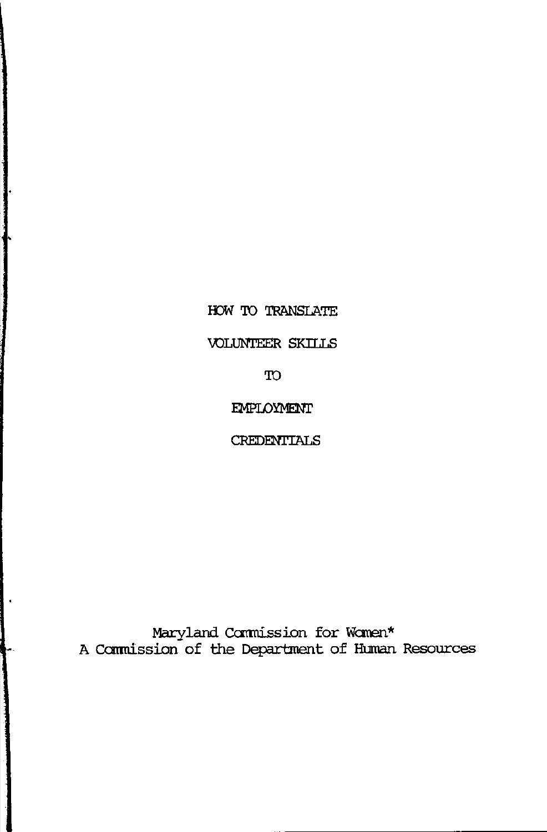HOW TO TRANSLATE

VOLUNTEER SKILLS

**TO** 

EMPLOYMENT

**CREDENTIALS** 

Maryland Commission for Women\*<br>A Commission of the Department of Human Resources

 $\bullet$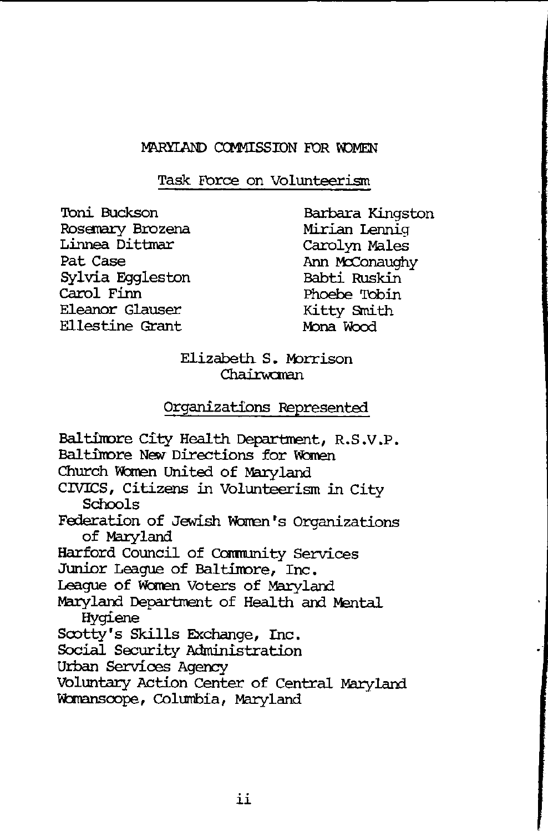#### MARYLAND COMMISSION FOR WOMEN

Task Force on Volunteerism

Toni Buckson Rosemary Brozena Linnea Dittmar Pat Case Sylvia Eqgleston Carol Finn Eleanor Glauser **Ellestine Grant** 

Barbara Kingston Mirian Lenniq Carolyn Males Ann McConaughy Babti Ruskin Phoebe Tobin Kitty Smith Mona Wood

Elizabeth S. Morrison Chairwoman

### Organizations Represented

Baltimore City Health Department, R.S.V.P. Baltimore New Directions for Women Church Women United of Marvland CIVICS, Citizens in Volunteerism in City Schools Federation of Jewish Women's Organizations of Maryland Harford Council of Community Services Junior League of Baltimore, Inc. League of Women Voters of Maryland Maryland Department of Health and Mental Hygiene Scotty's Skills Exchange, Inc. Social Security Administration Urban Services Agency Voluntary Action Center of Central Maryland Womanscope, Columbia, Maryland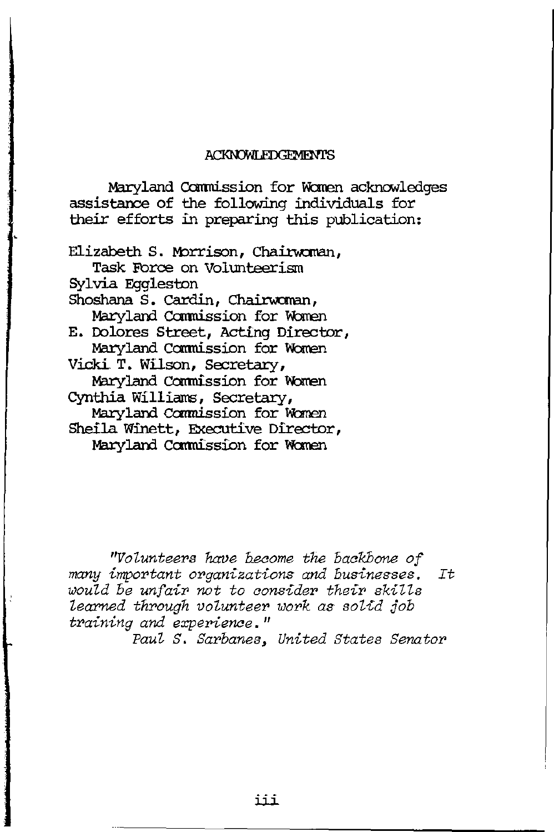#### **ACKNOWLEDGEMENTS**

Maryland Commission for Women acknowledges assistance of the following individuals for their efforts in preparing this publication:

Elizabeth S. Morrison, Chairwoman, Task Force on Volunteerism Sylvia Eqqleston Shoshana S. Cardin, Chairwoman, Maryland Commission for Women E. Dolores Street, Acting Director, Maryland Commission for Women Vicki T. Wilson, Secretary, Maryland Commission for Women Cynthia Williams, Secretary, Maryland Commission for Women Sheila Winett, Executive Director, Maryland Commission for Women

"Volunteers have become the backbone of many important organizations and businesses.  $It$ would be unfair not to consider their skills learned through volunteer work as solid job training and experience."

Paul S. Sarbanes, United States Senator

iii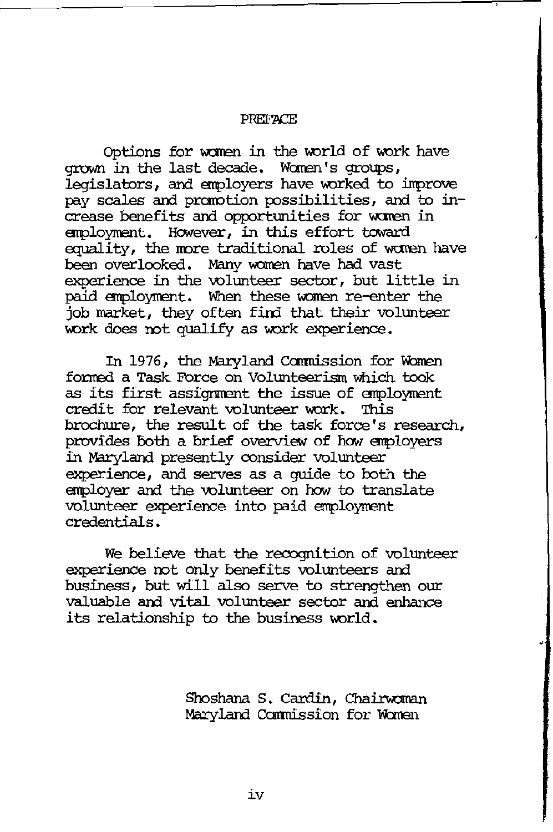#### **PREFATE**

Options for women in the world of work have grown in the last decade. Women's groups, legislators, and employers have worked to improve pay scales and prarotion possibilities, and to increase benefits and opportunities for women in employment. However, in this effort toward equality, the more traditional roles of women have been overlooked. Many women have had vast experience in the volunteer sector, but little in paid employment. When these women re-enter the job market, they often find that their volunteer work does mt qualify as work experience.

In 1976, the Maryland Commission for Women fonred a Task Force on Volunteerism which took as its first assignment the issue of employment credit for relevant volunteer work. This brochure, the result of the task force's research, provides Both a brief overview of how employers in M3ryland presently consider volunteer experience, and serves as a guide to both the employer and the volunteer on how to translate volunteer experience into paid employment credentials.

We believe that the recognition of volunteer experience not only benefits volunteers and business, but will also serve to strengthen our valuable and vital volunteer sector and enhance its relationship to the business world.

> Shoshana S. Cardin, Chairwoman Maryland Commission for Women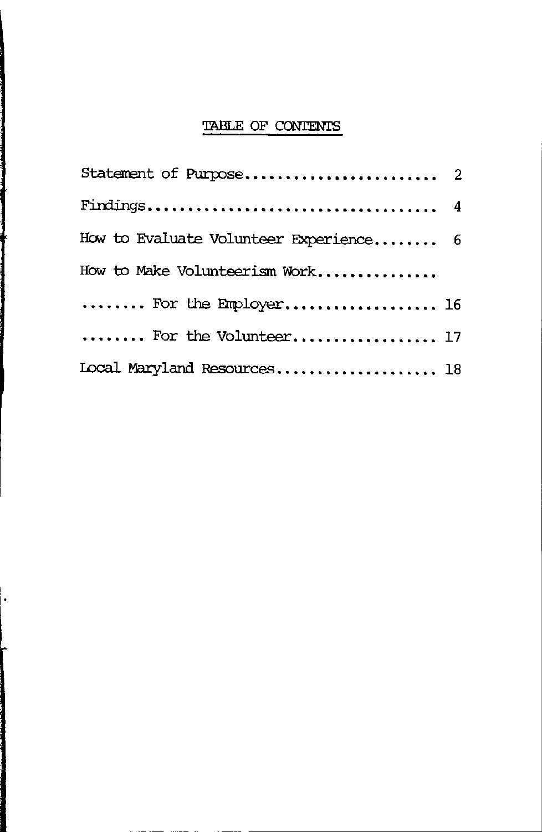# TABLE OF CONTENTS

| How to Evaluate Volunteer Experience 6 |  |
|----------------------------------------|--|
| How to Make Volunteerism Work          |  |
| For the Employer 16                    |  |
| For the Volunteer 17                   |  |
| Local Maryland Resources 18            |  |

1 ł

 $\ddot{\phantom{0}}$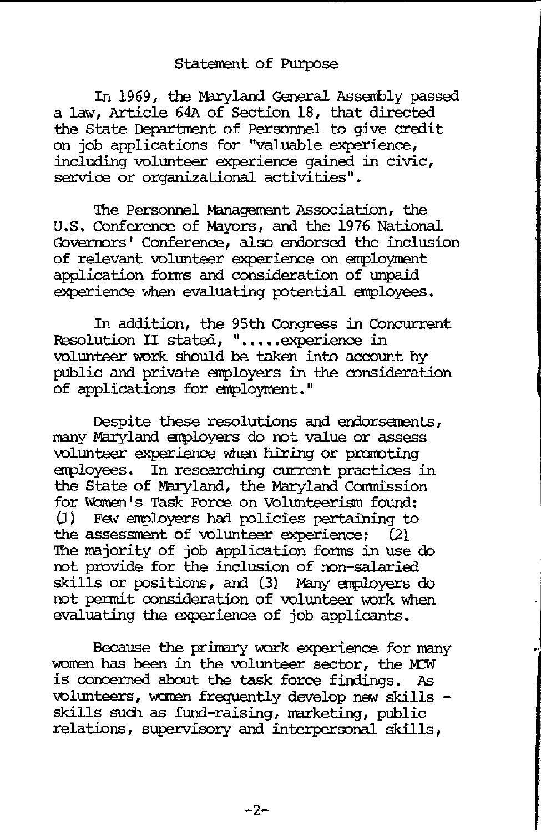## Statement of Purpose

In 1969, the Maryland General Assembly passed a law, Article 64A of Section 18, that directed the State Department of Personnel to give credit on job applications for "valuable experience, including volunteer experience gained in civic, service or organizational activities".

'lhe Personnel Managemant Association, the U.S. Conference of Mayors, and the 1976 National Governors' Conference, also endorsed the inclusion of relevant volunteer experience on employment application fonns and consideration of unpaid experience when evaluating potential employees.

In addition, the 95th Congress in Concurrent Resolution II stated, ".....experience in volunteer work should be taken into account by public and private employers in the consideration of applications for employment."

Despite these resolutions and endorsements, many Maryland employers do not value or assess volunteer experience when hiring or praroting employees. In researching current practices in the State of Maryland, the Maryland Canmission for Women's Task Force on Volunteerism found: (1) Few employers had policies pertaining to the assessnent of volunteer experience; (21 The majority of job application forms in use do not provide for the inclusion of non-salari skills or positions, and (3) Many employers do not permit consideration of volunteer work when evaluating the experience of job applicants.

Because the primary work experience for many women has been in the volunteer sector, the MCW is concerned about the task force findings. As volunteers, women frequently develop new skills skills such as fund-raising, marketing, public relations, supervisory and interpersonal skills,

 $-2-$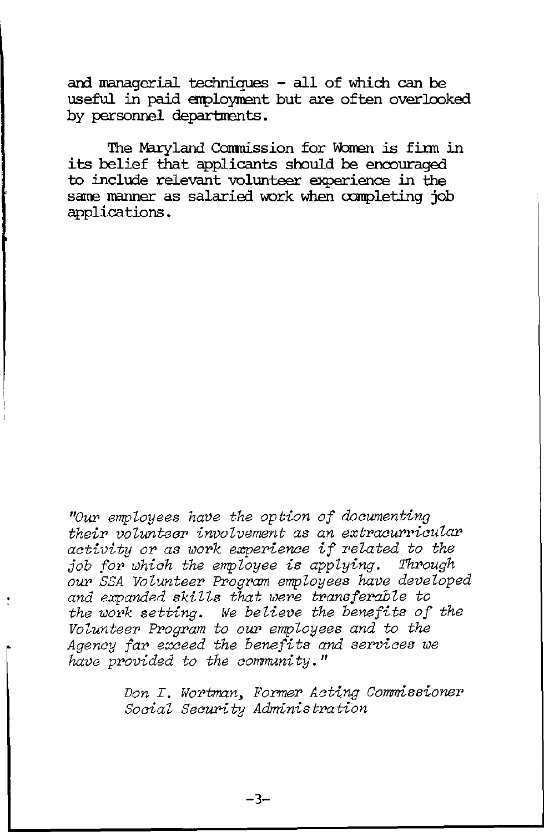**an:l nanagerial techni.ques - all of which can be useful in paid aq:,loynent but are often overlooked**  by personnel departments.

**The M3.ryland Cormti.ssion for \breJ1 is fi.l:m** *in*  its belief that applicants should be encouraged **to include relevant volunteer experience** *in* **the**  same manner as salaried work when completing job **applications.** 

*''Ou:r> employees have the option of docwnenting their volunteer involvement as an extracurricular activity* or *as work experience if related to the job for which the employee is applying. Through*  our SSA Volunteer Program employees have developed *and expanded skills that were transferable to the work setting. We believe the benefits of the*   $\emph{Volunter Program to our employees and to the}$ <sup>~</sup>*Agency far exceed the benefits and services we have provided to the aommuni ty.* "

> *Don I. Wortman, Former Acting Comrrissioner*   $Social$  *Security Administration*

> > **-3-**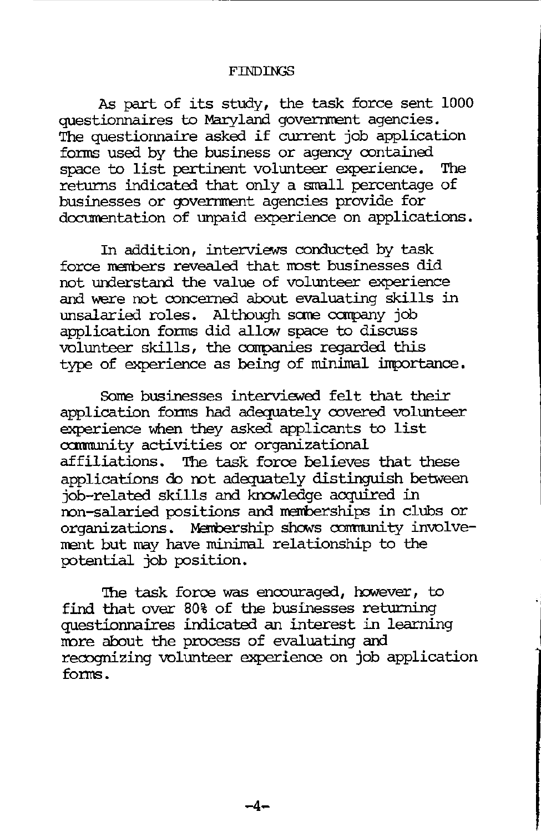As part of its study, the task force sent 1000 questionnaires to Maryland government agencies. The questionnaire asked if current job application forms used by the business or agency contained space to list pertinent volunteer experience. The returns indicated that only a small percentage of businesses or government agencies provide for documentation of unpaid experience on applications.

In addition, interviews conducted by task force members revealed that most businesses did not understand the value of volunteer experience and were not ooncerned about evaluating skills in unsalaried roles. Although sane carpany job application forms did allow space to discuss volunteer skills, the companies regarded this type of experience as being of minimal importance.

Some businesses interviewed felt that their application forms had adequately covered volunteer experience when they asked applicants to list community activities or organizational affiliations. The task force believes that these applications do mt adequately distinguish between job-related skills and knavledge acquired in ron-salaried positions and rrenberships in clubs or organizations. Membership shows community involvement but may have minimal relationship to the potential job position.

The task force was encouraged, however, to find that over 80% of the businesses returning questionnaires indicated an interest in learning more about the process of evaluating and recognizing volunteer experience on job application forms.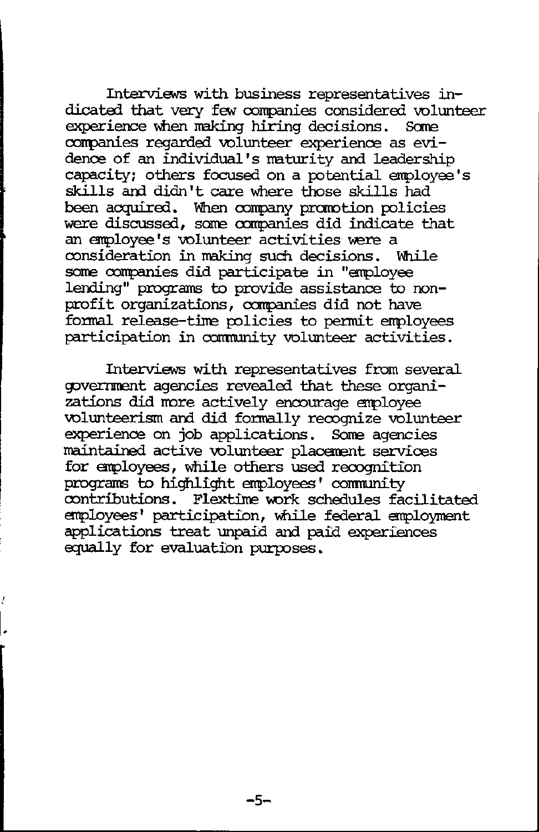Interviews with business representatives indicated that very few companies considered volunteer<br>experience when making hiring decisions. Some experience when making hiring decisions. conpanies regarded volunteer experience as evidence of an individual's maturity and leadership  $capacity$ ; others focused on a potential employee's skills and didn't care where those skills had been acquired. When conpany prarotion policies were discussed, some companies did indicate that an employee's volunteer activities were a consideration in making such decisions. While same conpanies did participate in "enployee lending" programs to provide assistance to nonprofit organizations, companies did not have formal release-time policies to permit employees participation in comnunity volunteer activities.

Interviews with representatives from several government agencies revealed that these organizations did more actively encourage employee volunteerism and did formally recognize volunteer experience on job applications. Some agencies maintained active volunteer placement services for enployees, while others used recognition programs to highlight employees' community contributions. Flextime work schedules facilitated enployees' participation, \\hile federal enployment applications treat unpaid and paid experiences equally for evaluation purposes.

-5-

I.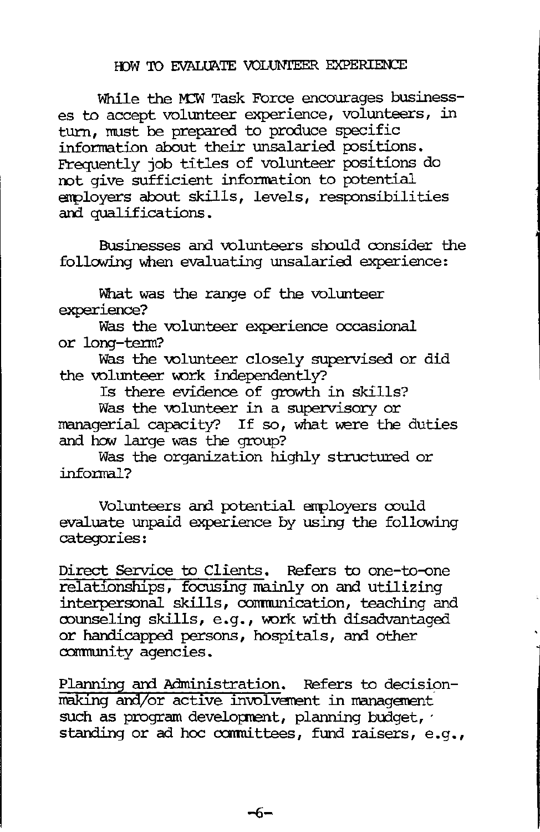### HOW TO EVALUATE VOLUNIEER EXPERIENCE

While the MCW Task Force encourages businesses to accept volunteer experience, volunteers, in turn. must be prepared to produce specific information about their unsalaried positions. Frequently job titles of volunteer positions do  $\overline{\text{not}}$  give sufficient information to potential employers about skills, levels, responsibilities and qualifications.

Businesses and volunteers should consider the following when evaluating unsalaried experience:

What was the range of the volunteer experience?

Was the volunteer experience occasional or long-tenn?

Was the volunteer closely supervised or did the volunteer work independently?

Is there evidence of growth in skills?

Was the volunteer in a supervisory or managerial capacity? If so, what were the duties and how large was the group?

Was the organization highly structured or informal?

Volunteers and potential employers could evaluate unpaid experience by using the following categories:

Direct Service to Clients. Refers to one-to-one relationships, focusing mainly on and utilizing interpersonal skills, corrmunication, teaching and counseling skills, e.g., work with disadvantaged or handicapped persons, hospitals, and other community agencies.

Planning and Administration. Refers to decisionmaking and/or active involvement in management such as program development, planning budget, standing or ad hoc committees, fund raisers, e.g.,

 $-6-$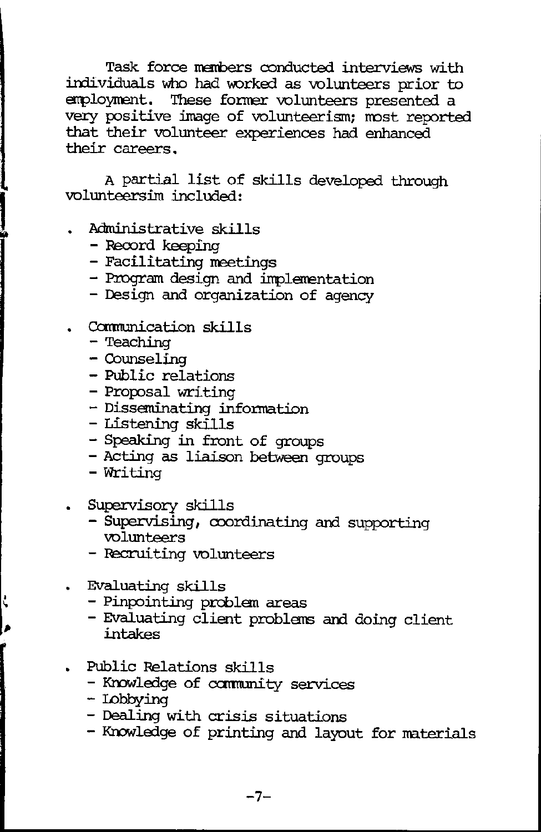Task force members conducted interviews with individuals who had worked as volunteers prior to employment. These former volunteers presented a very positive image of volunteerism; most reported that their volunteer experiences had enhanced their careers.

A partial list of skills developed through volunteersim included:

- Administrative skills
	- $-$  Record keeping
	- Facilitating meetings
	- Program design and implementation
	- Design and organization of agency
- . Communication skills
	- Teaching

l

- Counseling
- Public relations
- Proposal writing
- Disseminating infonnation
- Listening skills
- Speaking in front of groups
- Acting as liaison between groups
- Writing
- Supervisory skills
	- Supervising, coordinating and supporting volunteers
	- Pecruiting volunteers
- Evaluating skills
	- Pinpointing problem areas
	- Evaluating client problems and doing client intakes
- Public Relations skills
	- Knowledge of community services
	- Lobbying
	- Dealing with crisis situations
	- Knowledge of printing and layout for materials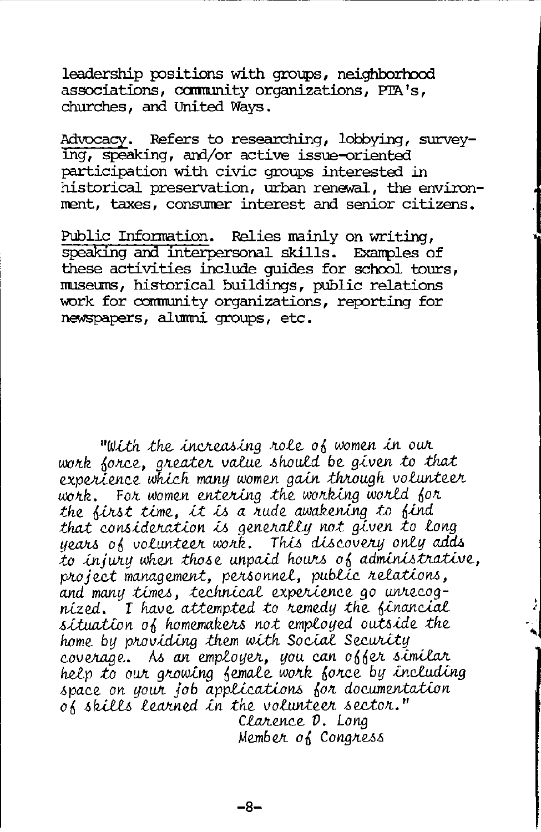leadership positions with groups, neighborhood associations, community organizations, PTA's, churches, and United Wavs.

Advocacy. Refers to researching, lobbying, surveying, speaking, and/or active issue-oriented participation with civic groups interested in historical preservation, urban renewal, the environment, taxes, consumer interest and senior citizens.

Public Information. Relies mainly on writing, speaking and interpersonal skills. Examples of these activities include quides for school tours, museums, historical buildings, public relations work for community organizations, reporting for newspapers, alumni groups, etc.

"With the increasing role of women in our work force, greater value should be given to that experience which many women gain through volunteer work. For women entering the working world for the first time, it is a rude awakening to find that consideration is generally not given to long years of volunteer work. This discovery only adds to injury when those unpaid hours of administrative, project management, personnel, public relations. and many times, technical experience go unrecognized. I have attempted to remedy the financial situation of homemakers not employed outside the home by providing them with Social Security coverage. As an employer, you can offer similar<br>help to our growing female work force by including space on your job applications for documentation of skills learned in the volunteer sector." Clarence D. Long Member of Congress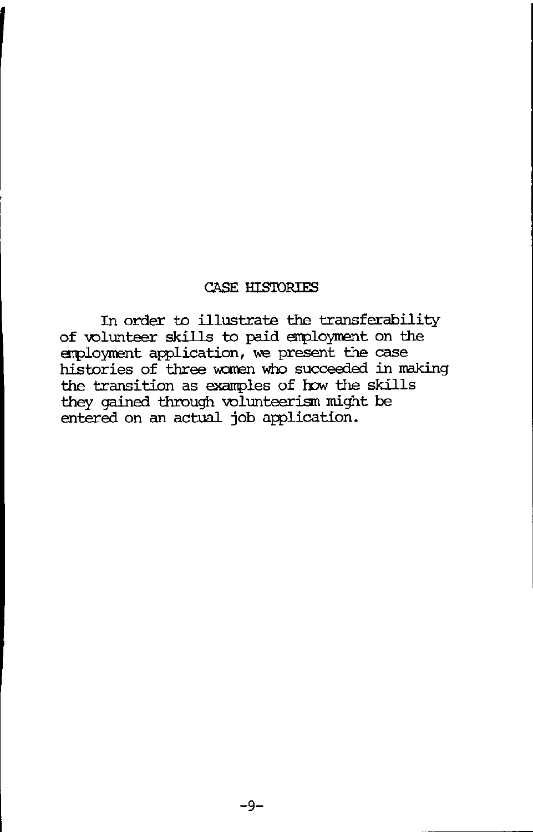## CASE HIS'IDRIFS

In order to illustrate the transferability of volunteer skills to paid employment on the erploynent application, we present the case histories of three women who succeeded in making the transition as examples of how the skills they gained through volunteerism might be entered on an actual job application.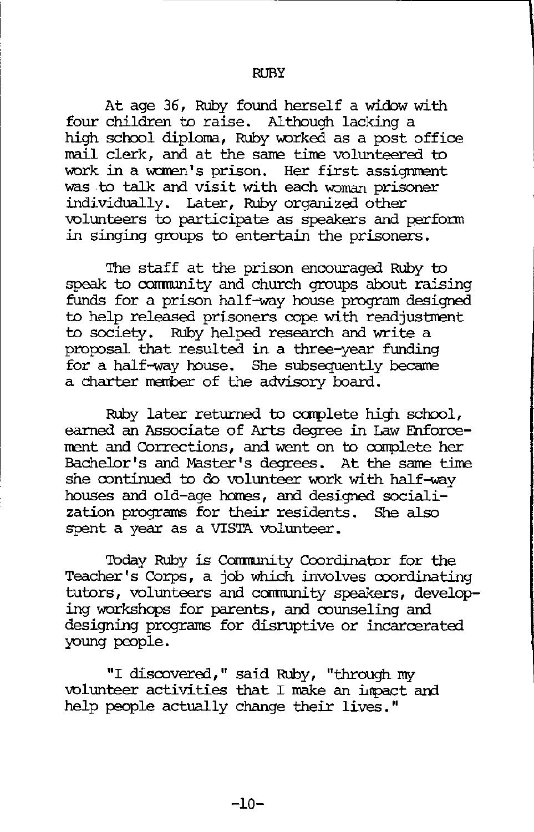At age 36, Ruby found herself a widow with four children to raise. Although lacking a high school diploma, Ruby worked as a post office mail clerk, and at the same time volunteered to work in a women's prison. Her first assignment was to talk and visit with each woman prisoner individually. Later, Ruby organized other volunteers to participate as speakers and perfonn in singing groups to entertain the prisoners.

The staff at the prison encouraged Ruby to speak to cornnunity and church groups about raising funds for a prison half-way house program designed to help released prisoners cope with readjustment to society. Ruby helped research and write a proposal that resulted in a three-year funding for a half-way house. She subsequently became a charter member of the advisory board.

Ruby later returned to carplete high school, earned an Associate of Arts degree in Law Enforcement and Corrections, and went on to complete her Bachelor's and Master's degrees. At the same time she continued to do volunteer work with half-way houses and old-age homes, and designed socialization programs for their residents . She also spent a year as a VISTA volunteer.

Today Ruby is Community Coordinator for the Teacher's Corps, a job which involves coordinating tutors, volunteers and community speakers, developing workshops for parents, and counseling and designing programs for disruptive or incarcerated young people.

"I discovered, " said Ruby, "through my volunteer activities that I make an impact and help people actually change their lives."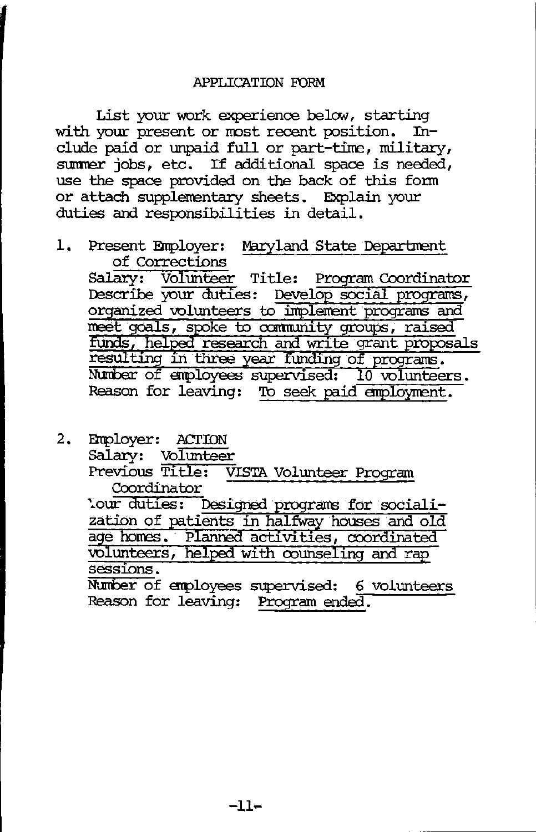List your work experience below, starting<br>your present or most recent position. Inwith your present or most recent position. clude paid or unpaid full or part-time, military, summer jobs, etc. If additional space is needed, use the space provided on the back of this fonn or attach supplementary sheets. Explain your  $d$ uties and responsibilities in detail.

1. Present Employer: Maryland State Departmen of Corrections

Salary: Volunteer Title: Program Coordinator Describe your duties: Develop social programs, organized volunteers to implement programs and funds, helped research and write grant proposals meet goals, spoke to community groups, raised resulting in three year funding of programs. Number of employees supervised: 10 volunteers. Reason for leaving: To seek paid employment.

2. Employer: ACTION Salary: Volunteer Previous Title: VISTA Volunteer Program Coordinator '.our duties: Designed programs for socialization of patients in halfway houses and old age homes. Planned activities, coordinated volunteers, helped with counseling and rap sessions. Number of employees supervised: 6 volunteers Reason for leaving: Program ended.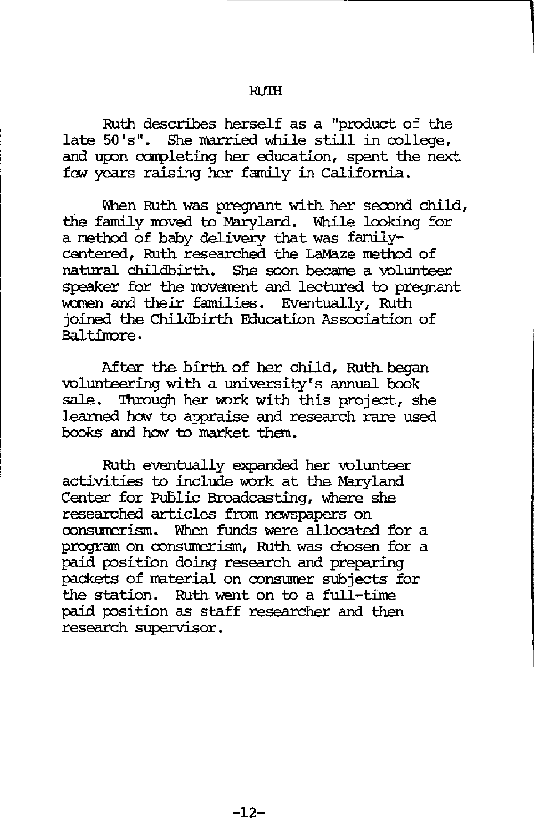#### $R$ ITH

Ruth describes herself as a "product of the late 50 's". She married while still in college, and upon ccnpleting her education, spent the next fev years raising her family in California.

When Ruth was pregnant with her second child, the family moved to Maryland. While looking for a method of baby delivery that was familycentered, Ruth researched the LaMaze method of natural childbirth. She soon became a volunteer speaker for the movement and lectured to pregnant women and their families. Eventually, Ruth joined the Childbirth Etlucation Association of Baltimore.

After the birth of her child, Ruth began volunteering with a university's annual book sale. Through her work with this project, she learned how to appraise and research rare used books and how to market than.

Ruth eventually expanded her volunteer activities to include work at the Maryland Center for Pu6lic Broadcasting, where she researched articles from newspapers on consmierism. When funds were allocated for a program on consumerism, Ruth was chosen for a paid position doing research and preparing packets of material on consumer subjects for the station. Ruth went on to a full-time paid position as staff researcher and then research supervisor.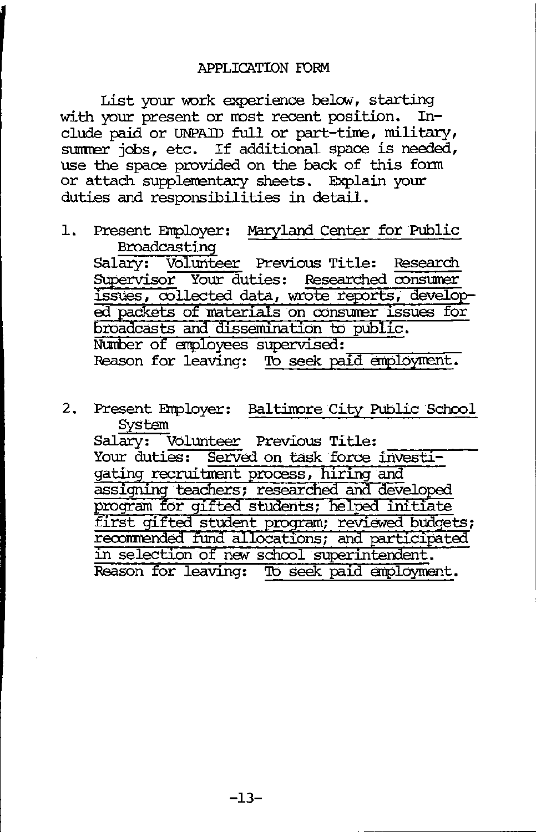List your work experience below, starting<br>your present or most recent position. Inwith your present or most recent position. clude paid or UNPAID full or part-time, military, sunner jobs, etc. If additional space is needed, use the space provided on the back of this fonn or attach supplementary sheets. Explain your duties and responsibilities in detail.

- 1. Present Employer: Maryland Center for Public Broadcasting Salary: Volunteer Previous Title: Research Supervisor Your duties: Researched consumer issues, oollected data, wrote reports, develo~ ed packets of materials on consumer issues for broadcasts and dissemination to public.<br>Number of employees supervised: Reason for leaving: To seek paid amployment.
- 2. Present Employer: Baltimore City Public School System Salary: Volunteer Previous Title: Your duties: Served on task force investigating recruitment process, hiring and assigning teachers; researched and developed program for gifted students; helped initiate first gifted student program; reviewed budgets; recommended fund allocations; and participated in selection of new school superintendent. Reason for leaving: To seek paid employment.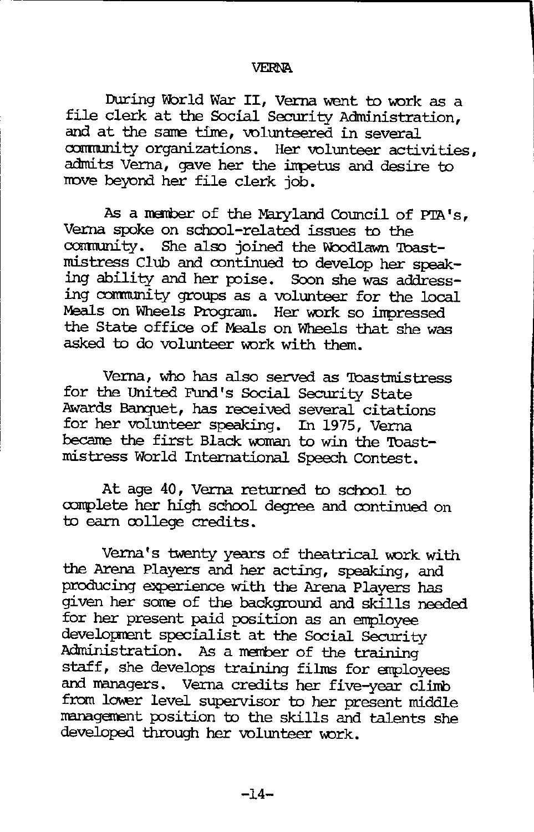#### VERNA

**Includes** 

During World War II, Verna went to work as a file clerk at the Social Security Administration, and at the same time, volunteered in several community organizations. Her volunteer activities, admits Verna, gave her the impetus and desire to rrove beyond her file clerk job.

As a member of the Maryland Council of PTA's, Verna spoke on school-related issues to the community. She also joined the Woodlawn Toastmistress Club and continued to develop her speaking ability and her poise. Soon she was addressing community groups as a volunteer for the local Meals on Wheels Program. Her work so impressed the State office of Meals on Wheels that she was asked to do volunteer work with them.

Verna, who has also served as 'lbastmistress for the United Fund's Social Security State Awards Banquet, has received several citations for her volunteer speaking. In 1975, Verna became the first Black woman to win the Toastmistress World International Speech Contest.

At age 40, Verna returned to school to o:mplete her high school degree and continued on to earn oollege credits.

Verna's twenty years of theatrical work with the Arena Players and her acting, speaking, and producing experience with the Arena Players has given her sorre of the background and skills needed for her present paid position as an employee development specialist at the Social Security Administration. As a member of the training staff, she develops training films for employees and managers. Verna credits her five-year clinb from lower level supervisor to her present middle management position to the skills and talents she developed through her volunteer work.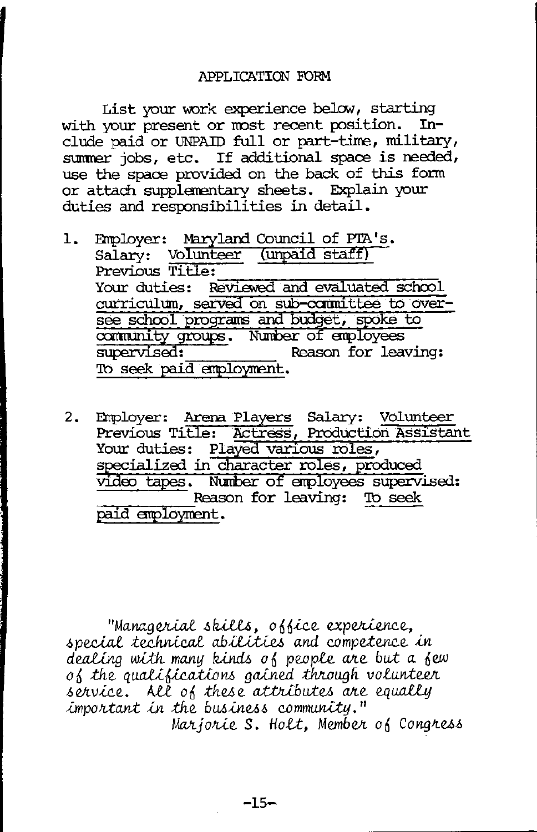### APPLICATION FORM

List your work experience below, starting with your present or most recent position. Include paid or UNPAID full or part-time, military, summer jobs, etc. If additional space is needed, use the space provided on the back of this form or attach supplementary sheets. Explain your duties and responsibilities in detail.

- Employer: Maryland Council of PTA's.  $1.$ Salary: Volunteer (unpaid staff) Previous Title: Your duties: Reviewed and evaluated school curriculum, served on sub-committee to oversee school programs and budget, spoke to supervised: Reason for leaving: To seek paid employment.
- Employer: Arena Players Salary: Volunteer<br>Previous Title: Actress, Production Assistant  $2.$ Your duties: Played various roles, specialized in character roles, produced<br>video tapes. Number of employees supervised: Reason for leaving: To seek paid employment.

"Managerial skills, office experience, special technical abilities and competence in dealing with many kinds of people are but a few of the qualifications gained through volunteer service. All of these attributes are equally important in the business community." Marjorie S. Holt, Member of Congress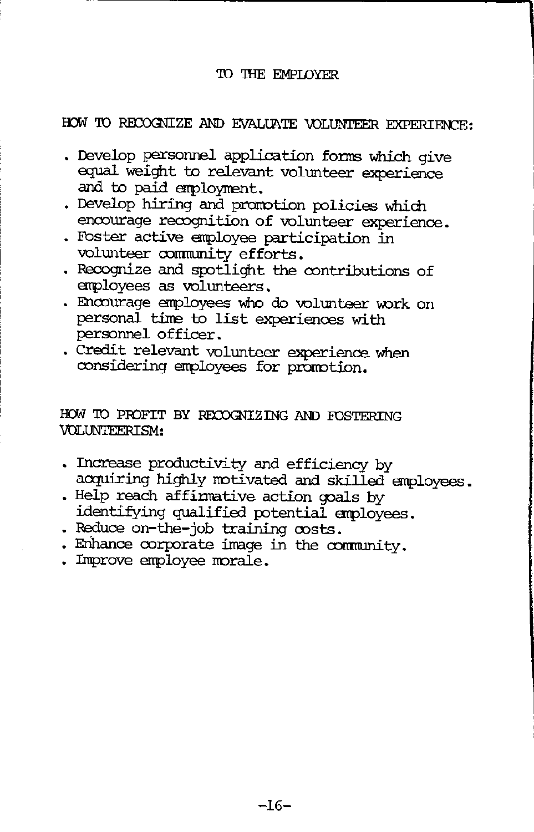### TO THE EMPLOYER

# HOW TO RECOGNIZE AND EVALUATE VOLUNTEER EXPERIENCE:

- . Develop personnel application forms which give equal weight to relevant volunteer experience and to paid employment.
- . Develop hiring and promotion policies which encourage recognition of volunteer experience.
- . Foster active employee participation in volunteer community efforts.
- . Recognize and spotlight the contributions of employees as volunteers.
- . Encourage employees who do volunteer work on personal time to list experiences with personnel officer.
- . Credit relevant volunteer experience when considering employees for promotion.

### HOW TO PROFIT BY RECOGNIZING AND FOSTERING VOLUNTEERISM:

- . Increase productivity and efficiency by acquiring highly motivated and skilled employees.
- . Help reach affirmative action goals by identifying qualified potential employees.
- . Reduce on-the-job training costs.
- . Enhance corporate image in the community.
- . Improve employee morale.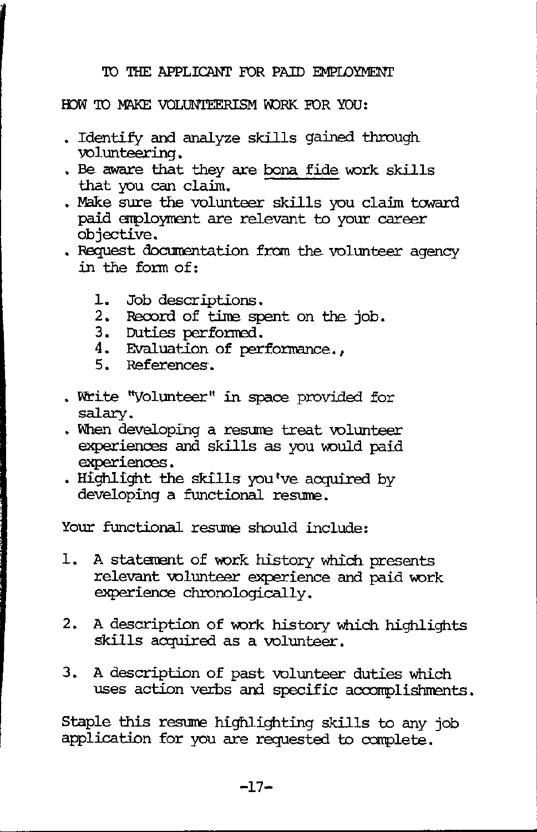# TO THE APPLICANT FOR PAID EMPLOYMENT

# HOW TO MAKE VOLUNTEERISM WORK FOR YOU:

- Identify and analyze skills gained through volunteering.
- . Be aware that they are bona fide work skills that you can claim .
- . Make sure the volunteer skills you claim toward paid employment are relevant to your career objective.
- . Request documentation from the volunteer agency in the fonn of:
	- 1. Job descriptions.
	- 2. Record of time spent on the job.
	- 3. Duties perfomed.
	- 4. Evaluation of performance.,
	- 5. References.
- Write "Volunteer" in space provided for salary.
- . When developing a resume treat volunteer experiences and skills as you would paid experiences.
- Highlight the skills you've acquired by developing a functional resume.

Your functional resume should include:

- 1. A statement of work history which presents relevant volunteer experience and paid work experience chronologically.
- 2. A description of work history which highlights skills acquired as a volunteer.
- 3. A description of past volunteer duties which uses action verbs and specific accomplishments.

Staple this resume highlighting skills to any job application for you are requested to conplete.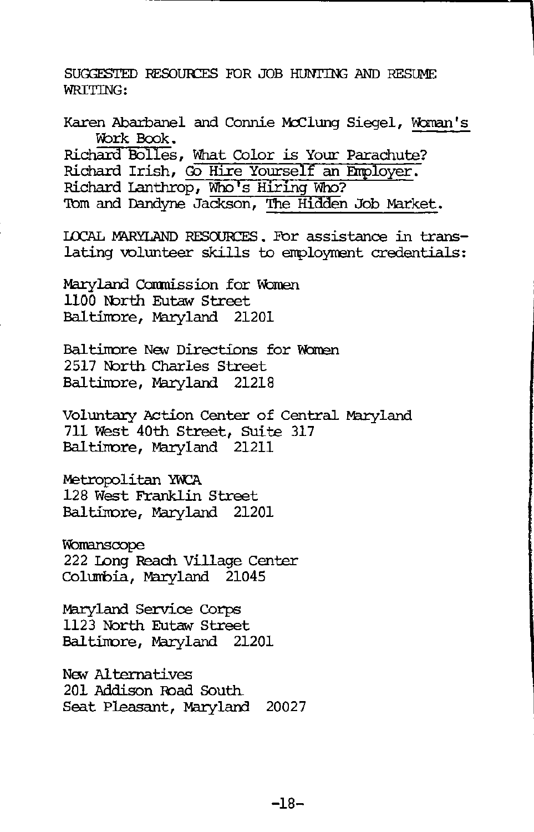SUGGESTED RESOURCES FOR JOB HUNTING AND RESUME WRITTING:

Karen Abarbanel and Connie McClung Siegel, Woman's vbrk Book. Richard Bolles, What Color is Your Parachute? Richard Irish, Go Hire Yourself an Employer. Richard Lanthrop, Who's Hiring Who? 'Ibm and Dandyne Jackson, The Hidden Job Market. I.CCAL MARYLAND RESOURCES. For assistance in translating volunteer skills to employment credentials: Maryland Commission for Women 1100 North Eutaw Street Baltimore, Maryland 21201 Baltimore New Directions for Women 2517 North Charles Street Baltimore, Maryland 21218 Voluntary Action Center of Central Maryland 711 West 40th Street, Suite 317 Baltirrore, Maryland 21211 Metropolitan YWCA 128 West Franklin Street Baltinore, Maryland 21201 Womanscope 222 Long Reach Village Center Colurrbia, Maryland 21045 Maryland Service Corps 1123 North Eutaw Street Baltinore, Maryland 21201

New Alternatives 201 Addison !bad South Seat Pleasant, Maryland 20027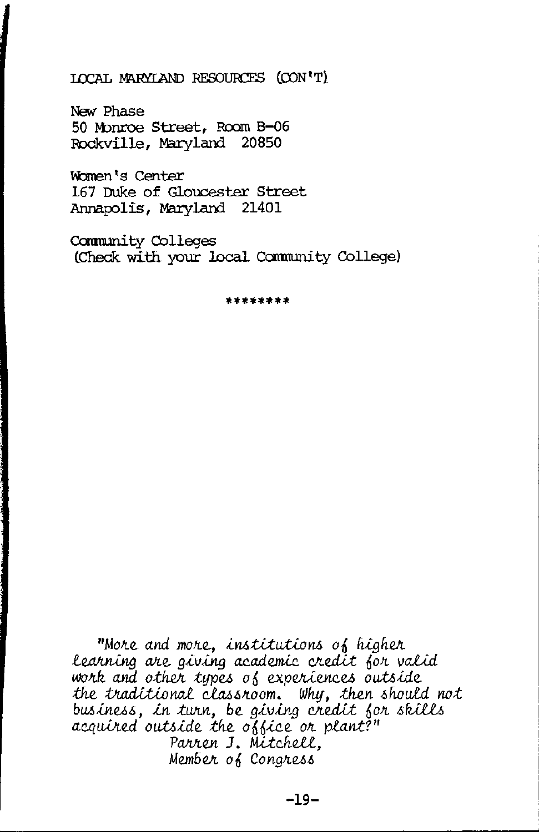### ICCAL MARYLAND RESOURCES (CON'T)

New Phase 50 Monroe Street, Room B-06 Rockville, Maryland 20850

Women's Center 167 Duke of Gloucester Street Annapolis, Maryland 21401

Community Colleges (Check with your local Community College)

\*\*\*\*\*\*\*\*

"More and more, institutions of higher learning are giving academic credit for valid work and other types of experiences outside the traditional classroom. Why, then should not business, in turn, be giving credit for skills acquired outside the office or plant?" Parren J. Mitchell. Member of Congress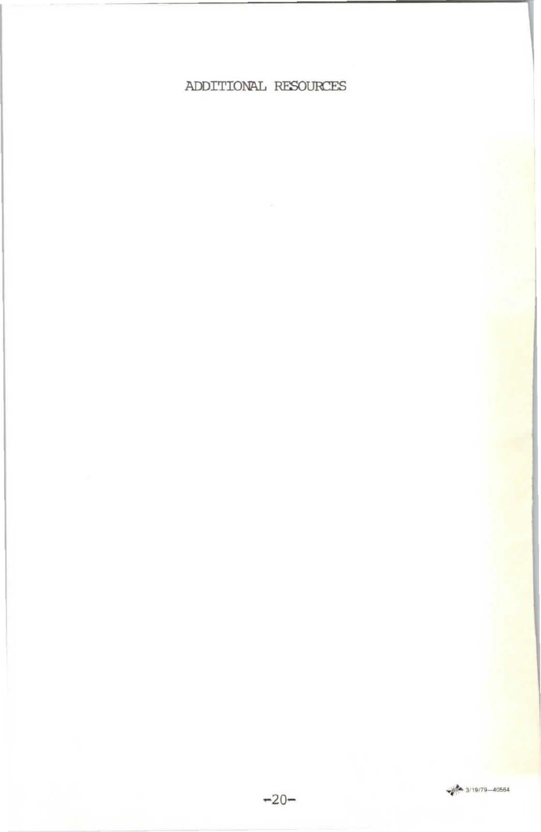# ADDITIONAL RESOURCES